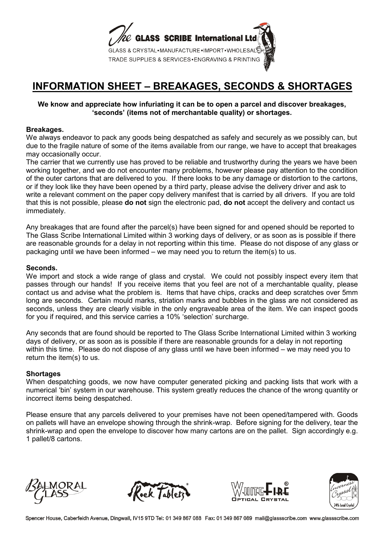

# **INFORMATION SHEET – BREAKAGES, SECONDS & SHORTAGES**

# **We know and appreciate how infuriating it can be to open a parcel and discover breakages, 'seconds' (items not of merchantable quality) or shortages.**

# **Breakages.**

We always endeavor to pack any goods being despatched as safely and securely as we possibly can, but due to the fragile nature of some of the items available from our range, we have to accept that breakages may occasionally occur.

The carrier that we currently use has proved to be reliable and trustworthy during the years we have been working together, and we do not encounter many problems, however please pay attention to the condition of the outer cartons that are delivered to you. If there looks to be any damage or distortion to the cartons, or if they look like they have been opened by a third party, please advise the delivery driver and ask to write a relevant comment on the paper copy delivery manifest that is carried by all drivers. If you are told that this is not possible, please **do not** sign the electronic pad, **do not** accept the delivery and contact us immediately.

Any breakages that are found after the parcel(s) have been signed for and opened should be reported to The Glass Scribe International Limited within 3 working days of delivery, or as soon as is possible if there are reasonable grounds for a delay in not reporting within this time. Please do not dispose of any glass or packaging until we have been informed – we may need you to return the item(s) to us.

#### **Seconds.**

We import and stock a wide range of glass and crystal. We could not possibly inspect every item that passes through our hands! If you receive items that you feel are not of a merchantable quality, please contact us and advise what the problem is. Items that have chips, cracks and deep scratches over 5mm long are seconds. Certain mould marks, striation marks and bubbles in the glass are not considered as seconds, unless they are clearly visible in the only engraveable area of the item. We can inspect goods for you if required, and this service carries a 10% 'selection' surcharge.

Any seconds that are found should be reported to The Glass Scribe International Limited within 3 working days of delivery, or as soon as is possible if there are reasonable grounds for a delay in not reporting within this time. Please do not dispose of any glass until we have been informed – we may need you to return the item(s) to us.

#### **Shortages**

When despatching goods, we now have computer generated picking and packing lists that work with a numerical 'bin' system in our warehouse. This system greatly reduces the chance of the wrong quantity or incorrect items being despatched.

Please ensure that any parcels delivered to your premises have not been opened/tampered with. Goods on pallets will have an envelope showing through the shrink-wrap. Before signing for the delivery, tear the shrink-wrap and open the envelope to discover how many cartons are on the pallet. Sign accordingly e.g. 1 pallet/8 cartons.